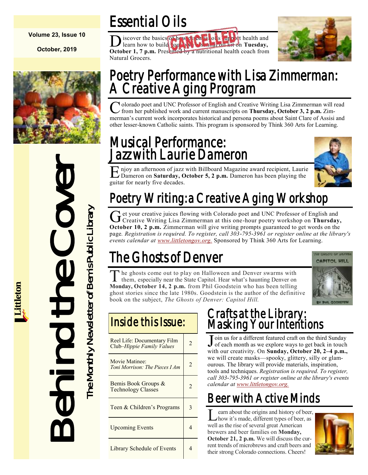#### **Volume 23, Issue 10**

**October, 2019**



# Behind the Cover The Monthly Newsletter of Bemis Public Library OVO The Monthly Newsletter of Bemis Public Library  $\sum$

# Essential Oils

D iscover the basics of how essential oils support health and learn how to build your own essential oil kit on **Tuesday, October 1, 7 p.m.** Presented by a nutritional health coach from Natural Grocers.



## Poetry Performance with Lisa Zimmerman: A Creative Aging Program

Colorado poet and UNC Professor of English and Creative Writing Lisa Zimmerman will read<br>
from her published work and current manuscripts on Thursday, October 3, 2 p.m. Zimfrom her published work and current manuscripts on **Thursday, October 3, 2 p.m.** Zimmerman's current work incorporates historical and persona poems about Saint Clare of Assisi and other lesser-known Catholic saints. This program is sponsored by Think 360 Arts for Learning.

## Musical Performance: Jazz with Laurie Dameron



E njoy an afternoon of jazz with Billboard Magazine award recipient, Laurie<br>Dameron on Saturday, October 5, 2 p.m. Dameron has been playing the Dameron on **Saturday, October 5, 2 p.m.** Dameron has been playing the guitar for nearly five decades.

# Poetry Writing: a Creative Aging Workshop

Get your creative juices flowing with Colorado poet and UNC Professor of English and Creative Writing Lisa Zimmerman at this one-hour poetry workshop on **Thursday**, et your creative juices flowing with Colorado poet and UNC Professor of English and **October 10, 2 p.m.** Zimmerman will give writing prompts guaranteed to get words on the page*. Registration is required. To register, call 303-795-3961 or register online at the library's events calendar at [www.littletongov.org.](https://www.littletongov.org/city-services/city-departments/bemis-library/library-events-calendar/-curm-10/-cury-2019/-selcat-3)* Sponsored by Think 360 Arts for Learning.

# The Ghosts of Denver



The ghosts come out to play on Halloween and Denver swarms with them, especially near the State Capitol. Hear what's haunting Denver on The ghosts come out to play on Halloween and Denver swarms with **Monday, October 14, 2 p.m.** from Phil Goodstein who has been telling ghost stories since the late 1980s. Goodstein is the author of the definitive book on the subject, *The Ghosts of Denver: Capitol Hill.*

## Inside this Issue:

| Reel Life: Documentary Film<br>Club-Hippie Family Values | 2              |
|----------------------------------------------------------|----------------|
| Movie Matinee:<br>Toni Morrison: The Pieces I Am         | 2              |
| Bemis Book Groups &<br><b>Technology Classes</b>         | $\overline{c}$ |
| Teen & Children's Programs                               | 3              |
| <b>Upcoming Events</b>                                   | 4              |
| <b>Library Schedule of Events</b>                        |                |

## Crafts at the Library: Masking Your Intentions

Join us for a different featured craft on the third Sunday<br>of each month as we explore ways to get back in touch of each month as we explore ways to get back in touch with our creativity. On **Sunday, October 20, 2–4 p.m.,**  we will create masks—spooky, glittery, silly or glamourous. The library will provide materials, inspiration, tools and techniques. *Registration is required. To register, call 303-795-3961 or register online at the library's events calendar at [www.littletongov.org.](https://www.littletongov.org/city-services/city-departments/bemis-library/library-events-calendar/-curm-10/-cury-2019/-selcat-3)*

# Beer with Active Minds

Learn about the origins and history of beer,<br>how it's made, different types of beer, as earn about the origins and history of beer, well as the rise of several great American brewers and beer families on **Monday, October 21, 2 p.m.** We will discuss the current trends of microbrews and craft beers and their strong Colorado connections. Cheers!

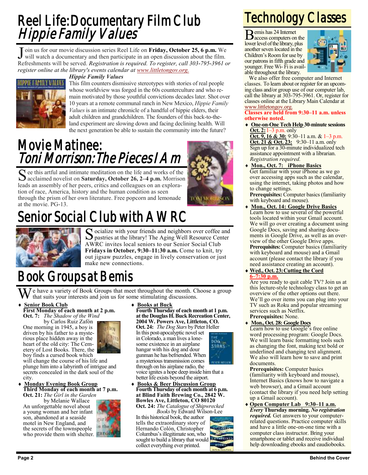## Reel Life: Documentary Film Club Hippie Family Values

J oin us for our movie discussion series Reel Life on **Friday, October 25, 6 p.m.** We will watch a documentary and then participate in an open discussion about the film. will watch a documentary and then participate in an open discussion about the film. Refreshments will be served. *Registration is required. To register, call 303-795-3961 or register online at the library's events calendar at [www.littletongov.org.](https://www.littletongov.org/city-services/city-departments/bemis-library/library-events-calendar/-curm-10/-cury-2019/-selcat-3)*

#### *Hippie Family Values*



This film counters dismissive stereotypes with stories of real people whose worldview was forged in the 60s counterculture and who remain motivated by those youthful convictions decades later. Shot over 10 years at a remote communal ranch in New Mexico, *Hippie Family Values* is an intimate chronicle of a handful of hippie elders, their adult children and grandchildren. The founders of this back-to-theland experiment are slowing down and facing declining health. Will the next generation be able to sustain the community into the future?

## Movie Matinee: Toni Morrison: The Pieces I Am

S ee this artful and intimate meditation on the life and works of the acclaimed novelist on Saturday, October 26, 2–4 p.m. Morrison acclaimed novelist on **Saturday, October 26, 2–4 p.m.** Morrison leads an assembly of her peers, critics and colleagues on an exploration of race, America, history and the human condition as seen through the prism of her own literature. Free popcorn and lemonade at the movie. PG-13.



# Senior Social Club with AWRC



Socialize with your friends and neighbors over coffee and<br>pastries at the library! The Aging Well Resource Center pastries at the library! The Aging Well Resource Center AWRC invites local seniors to our Senior Social Club **Fridays in October, 9:30–11:30 a.m.** Come to knit, try out jigsaw puzzles, engage in lively conservation or just make new connections.

# Book Groups at Bemis

 $\overline{W}$ e have a variety of Book Groups that meet throughout the month. Choose a group that suits your interests and join us for some stimulating discussions.

#### **Senior Book Club First Monday of each month at 2 p.m.**

**Oct. 7:** *The Shadow of the Wind* by Carlos Ruiz Zafón

One morning in 1945, a boy is driven by his father to a mysterious place hidden away in the heart of the old city: The Cemetery of Lost Books. There, the boy finds a cursed book which

will change the course of his life and plunge him into a labyrinth of intrigue and secrets concealed in the dark soul of the city.

#### **Monday Evening Book Group Third Monday of each month at 7 p.m.**

**Oct. 21:** *The Girl in the Garden*

by Melanie Wallace An unforgettable novel about a young woman and her infant son, abandoned at a seaside motel in New England, and the secrets of the townspeople who provide them with shelter.



**Fourth Thursday of each month at 1 p.m. at the Douglas H. Buck Recreation Center, 2004 W. Powers Ave, Littleton, CO. Oct. 24:** *The Dog Stars* by Peter Heller In this post-apocalyptic novel set in Colorado, a man lives a lone-**DOG** some existence in an airplane STARShangar with his dog and dour gunman he has befriended. When a mysterious transmission comes

through on his airplane radio, the voice ignites a hope deep inside him that a better life exists beyond the airport.

 **Books & Beer Discussion Group Fourth Thursday of each month at 6 p.m. at Blind Faith Brewing Co., 2842 W. Bowles Ave, Littleton, CO 80120 Oct. 24:** *The Catalogue of Shipwrecked*

*Books* by Edward Wilson-Lee In this historical book, the author tells the extraordinary story of Hernando Colón, Christopher Columbus's illegitimate son, who sought to build a library that would collect everything ever printed.

# Technology Classes

Bemis has 24 Internet access computers on the lower level of the library, plus another seven located in the Children's Room for use by our patrons in fifth grade and younger. Free Wi- Fi is available throughout the library.



We also offer free computer and Internet classes. To learn about or register for an upcoming class and/or group use of our computer lab, call the library at 303-795-3961. Or, register for classes online at the Library Main Calendar at [www.littletongov.org.](https://www.littletongov.org/city-services/city-departments/bemis-library/library-events-calendar/-curm-10/-cury-2019/-selcat-157)

#### **Classes are held from 9:30–11 a.m. unless otherwise noted.**

 **One-on-One Tech Help 30-minute sessions Oct. 2:**1–3 p.m. only

**Oct. 9, 16 & 30:** 9:30–11 a.m. & 1–3 p.m. **Oct. 21 & Oct. 23:** 9:30–11 a.m. only Sign up for a 30-minute individualized tech assistance appointment with a librarian. *Registration required.*

 **Mon., Oct. 7: iPhone Basics** Get familiar with your iPhone as we go over accessing apps such as the calendar, using the internet, taking photos and how to change settings.

**Prerequisites:** Computer basics (familiarity with keyboard and mouse).

- **Mon., Oct. 14: Google Drive Basics** Learn how to use several of the powerful tools located within your Gmail account. We will go over creating a document using Google Docs, saving and sharing documents in Google Drive, as well as an overview of the other Google Drive apps. **Prerequisites:** Computer basics (familiarity with keyboard and mouse) and a Gmail account (please contact the library if you need assistance creating an account).
- **Wed., Oct. 23:Cutting the Cord 6–7:30 p.m.**

Are you ready to quit cable TV? Join us at this lecture-style technology class to get an overview of the other options out there. We'll go over items you can plug into your TV such as Roku and popular streaming services such as Netflix. **Prerequisites:** None.

#### **Mon., Oct. 28: Google Docs**

Learn how to use Google's free online word processing program: Google Docs. We will learn basic formatting tools such as changing the font, making text bold or underlined and changing text alignment. We also will learn how to save and print documents.

**Prerequisites:** Computer basics (familiarity with keyboard and mouse), Internet Basics (knows how to navigate a web browser), and a Gmail account (contact the library if you need help setting up a Gmail account).

 **Open Computer Lab 9:30–11 a.m.** *Every* **Thursday morning.** *No registration required.* Get answers to your computerrelated questions. Practice computer skills and have a little one-on-one time with a computer class instructor. Bring your smartphone or tablet and receive individual help downloading ebooks and eaudiobooks.

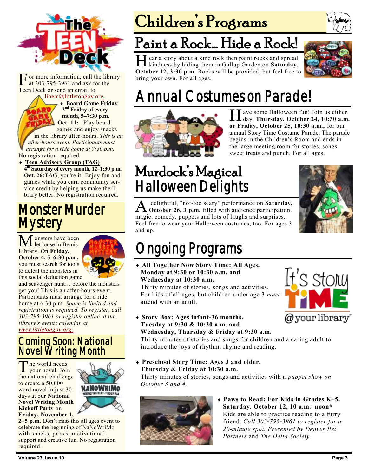

[F](https://bemis.libguides.com/teen-deck) or more information, call the at 303-795-3961 and ask for Teen Deck or send an email to or more information, call the library<br>at 303-795-3961 and ask for the at 303-795-3961 and ask for the Deck or send an email to<br>[libem@littletongov.org.](mailto:libem@littletongov.org.)

[libem@littletongov.org.](mailto:libem@littletongov.org.)

 **Board Game Friday Board Game Friday**  $2^{\overline{\text{n}d}}$  **Friday of every**  $p_{\text{max}}$  month, 5–7:30 p.m. *College and Sect. 11:* Play board games and enjoy snacks in the library after-hours. *This is an Letter-hours event. Participants must arrange for a ride home at 7:30 p.m.* 

No registration required.

**a** Teen Advisory Group (TAG)  $\overline{4^{\text{th}}}$  Saturday of every month, 12–1:30 p.m. Oct. 26: TAG, you're it! Enjoy fun and games while you earn community service credit by helping us make the library better. No registration required.

## Monster Murder **Mystery**

Monsters have been<br>let loose in Bemis Library. On **Friday, October 4, 5–6:30 p.m.,**  you must search for tools to defeat the monsters in this social deduction game



and scavenger hunt… before the monsters get you! This is an after-hours event. Participants must arrange for a ride home at 6:30 p.m. *Space is limited and registration is required. To register, call 303-795-3961 or register online at the library's events calendar at [www.littletongov.org.](https://www.littletongov.org/city-services/city-departments/bemis-library/library-events-calendar/-curm-10/-cury-2019/-selcat-97)*

### Coming Soon: National Novel Writing Month

The world needs<br>your novel. Join he world needs the national challenge to create a 50,000 word novel in just 30 days at our **National Novel Writing Month Kickoff Party** on **Friday, November 1,** 



**2–5 p.m.** Don't miss this all ages event to celebrate the beginning of NaNoWriMo with snacks, prizes, motivational support and creative fun. No registration required.

# Children's Programs



H kindness by hiding them in Gallup Garden on **Saturday,**  ear a story about a kind rock then paint rocks and spread **October 12, 3:30 p.m.** Rocks will be provided, but feel free to bring your own. For all ages.



# Annual Costumes on Parade!



H ave some Halloween fun! Join us either<br>day, Thursday, October 24, 10:30 a.m. day, **Thursday, October 24, 10:30 a.m. or Friday, October 25, 10:30 a.m.,** for our annual Story Time Costume Parade. The parade begins in the Children's Room and ends in the large meeting room for stories, songs, sweet treats and punch. For all ages.

# Murdock's Magical Halloween Delights



A delightful, "not-too scary" performance on Saturday, October 26, 3 p.m. filled with audience participation, delightful, "not-too scary" performance on **Saturday,**  magic, comedy, puppets and lots of laughs and surprises. Feel free to wear your Halloween costumes, too. For ages 3 and up.

# Ongoing Programs

 **All Together Now Story Time: All Ages. Monday at 9:30 or 10:30 a.m. and Wednesday at 10:30 a.m.**

Thirty minutes of stories, songs and activities. For kids of all ages, but children under age 3 *must*  attend with an adult.



 **Story Box: Ages infant-36 months. Tuesday at 9:30 & 10:30 a.m. and Wednesday, Thursday & Friday at 9:30 a.m.**

Thirty minutes of stories and songs for children and a caring adult to introduce the joys of rhythm, rhyme and reading.

 **Preschool Story Time: Ages 3 and older. Thursday & Friday at 10:30 a.m.**

Thirty minutes of stories, songs and activities with a *puppet show on October 3 and 4.*



 **Paws to Read: For Kids in Grades K–5. Saturday, October 12, 10 a.m.–noon\*** Kids are able to practice reading to a furry friend. *Call 303-795-3961 to register for a 20-minute spot. Presented by Denver Pet Partners* and *The Delta Society.*